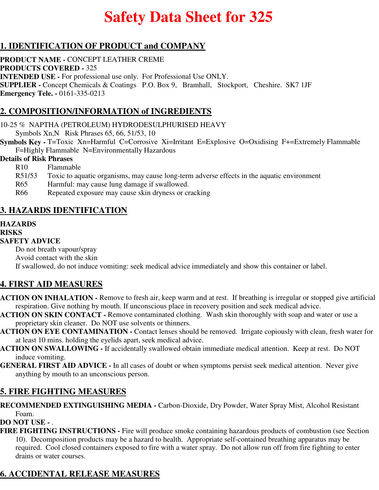# **Safety Data Sheet for 325**

# **1. IDENTIFICATION OF PRODUCT and COMPANY**

**PRODUCT NAME -** CONCEPT LEATHER CREME **PRODUCTS COVERED -** 325 **INTENDED USE -** For professional use only. For Professional Use ONLY. **SUPPLIER -** Concept Chemicals & Coatings P.O. Box 9, Bramhall, Stockport, Cheshire. SK7 1JF **Emergency Tele. -** 0161-335-0213

## **2. COMPOSITION/INFORMATION of INGREDIENTS**

10-25 % NAPTHA (PETROLEUM) HYDRODESULPHURISED HEAVY

Symbols Xn,N Risk Phrases 65, 66, 51/53, 10

**Symbols Key - T=Toxic Xn=Harmful C=Corrosive Xi=Irritant E=Explosive O=Oxidising F+=Extremely Flammable** F=Highly Flammable N=Environmentally Hazardous

#### **Details of Risk Phrases**

- R10 Flammable
- R51/53 Toxic to aquatic organisms, may cause long-term adverse effects in the aquatic environment
- R65 Harmful: may cause lung damage if swallowed.
- R66 Repeated exposure may cause skin dryness or cracking

# **3. HAZARDS IDENTIFICATION**

#### **HAZARDS**

#### **RISKS**

#### **SAFETY ADVICE**

Do not breath vapour/spray Avoid contact with the skin If swallowed, do not induce vomiting: seek medical advice immediately and show this container or label.

## **4. FIRST AID MEASURES**

- **ACTION ON INHALATION** Remove to fresh air, keep warm and at rest. If breathing is irregular or stopped give artificial respiration. Give nothing by mouth. If unconscious place in recovery position and seek medical advice.
- **ACTION ON SKIN CONTACT** Remove contaminated clothing. Wash skin thoroughly with soap and water or use a proprietary skin cleaner. Do NOT use solvents or thinners.
- **ACTION ON EYE CONTAMINATION** Contact lenses should be removed. Irrigate copiously with clean, fresh water for at least 10 mins. holding the eyelids apart, seek medical advice.
- **ACTION ON SWALLOWING** If accidentally swallowed obtain immediate medical attention. Keep at rest. Do NOT induce vomiting.
- **GENERAL FIRST AID ADVICE** In all cases of doubt or when symptoms persist seek medical attention. Never give anything by mouth to an unconscious person.

## **5. FIRE FIGHTING MEASURES**

**RECOMMENDED EXTINGUISHING MEDIA -** Carbon-Dioxide, Dry Powder, Water Spray Mist, Alcohol Resistant Foam.

#### **DO NOT USE -** .

**FIRE FIGHTING INSTRUCTIONS -** Fire will produce smoke containing hazardous products of combustion (see Section 10). Decomposition products may be a hazard to health. Appropriate self-contained breathing apparatus may be required. Cool closed containers exposed to fire with a water spray. Do not allow run off from fire fighting to enter drains or water courses.

# **6. ACCIDENTAL RELEASE MEASURES**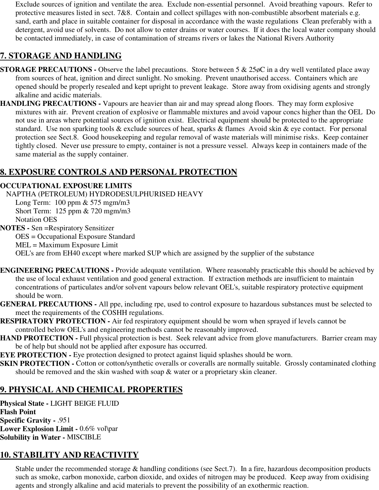Exclude sources of ignition and ventilate the area. Exclude non-essential personnel. Avoid breathing vapours. Refer to protective measures listed in sect. 7&8. Contain and collect spillages with non-combustible absorbent materials e.g. sand, earth and place in suitable container for disposal in accordance with the waste regulations Clean preferably with a detergent, avoid use of solvents. Do not allow to enter drains or water courses. If it does the local water company should be contacted immediately, in case of contamination of streams rivers or lakes the National Rivers Authority

# **7. STORAGE AND HANDLING**

- **STORAGE PRECAUTIONS -** Observe the label precautions. Store between 5 & 25 $\phi$ C in a dry well ventilated place away from sources of heat, ignition and direct sunlight. No smoking. Prevent unauthorised access. Containers which are opened should be properly resealed and kept upright to prevent leakage. Store away from oxidising agents and strongly alkaline and acidic materials.
- **HANDLING PRECAUTIONS** Vapours are heavier than air and may spread along floors. They may form explosive mixtures with air. Prevent creation of explosive or flammable mixtures and avoid vapour concs higher than the OEL Do not use in areas where potential sources of ignition exist. Electrical equipment should be protected to the appropriate standard. Use non sparking tools & exclude sources of heat, sparks & flames Avoid skin & eye contact. For personal protection see Sect.8. Good housekeeping and regular removal of waste materials will minimise risks. Keep container tightly closed. Never use pressure to empty, container is not a pressure vessel. Always keep in containers made of the same material as the supply container.

# **8. EXPOSURE CONTROLS AND PERSONAL PROTECTION**

#### **OCCUPATIONAL EXPOSURE LIMITS**

NAPTHA (PETROLEUM) HYDRODESULPHURISED HEAVY

Long Term: 100 ppm & 575 mgm/m3 Short Term: 125 ppm & 720 mgm/m3 Notation OES

**NOTES -** Sen =Respiratory Sensitizer

OES = Occupational Exposure Standard

MEL = Maximum Exposure Limit

OEL's are from EH40 except where marked SUP which are assigned by the supplier of the substance

- **ENGINEERING PRECAUTIONS** Provide adequate ventilation. Where reasonably practicable this should be achieved by the use of local exhaust ventilation and good general extraction. If extraction methods are insufficient to maintain concentrations of particulates and/or solvent vapours below relevant OEL's, suitable respiratory protective equipment should be worn.
- **GENERAL PRECAUTIONS** All ppe, including rpe, used to control exposure to hazardous substances must be selected to meet the requirements of the COSHH regulations.
- **RESPIRATORY PROTECTION** Air fed respiratory equipment should be worn when sprayed if levels cannot be controlled below OEL's and engineering methods cannot be reasonably improved.
- **HAND PROTECTION Full physical protection is best. Seek relevant advice from glove manufacturers. Barrier cream may** be of help but should not be applied after exposure has occurred.
- **EYE PROTECTION -** Eye protection designed to protect against liquid splashes should be worn.
- **SKIN PROTECTION -** Cotton or cotton/synthetic overalls or coveralls are normally suitable. Grossly contaminated clothing should be removed and the skin washed with soap & water or a proprietary skin cleaner.

## **9. PHYSICAL AND CHEMICAL PROPERTIES**

**Physical State -** LIGHT BEIGE FLUID **Flash Point Specific Gravity -** .951 **Lower Explosion Limit -** 0.6% vol\par **Solubility in Water -** MISCIBLE

# **10. STABILITY AND REACTIVITY**

Stable under the recommended storage & handling conditions (see Sect.7). In a fire, hazardous decomposition products such as smoke, carbon monoxide, carbon dioxide, and oxides of nitrogen may be produced. Keep away from oxidising agents and strongly alkaline and acid materials to prevent the possibility of an exothermic reaction.